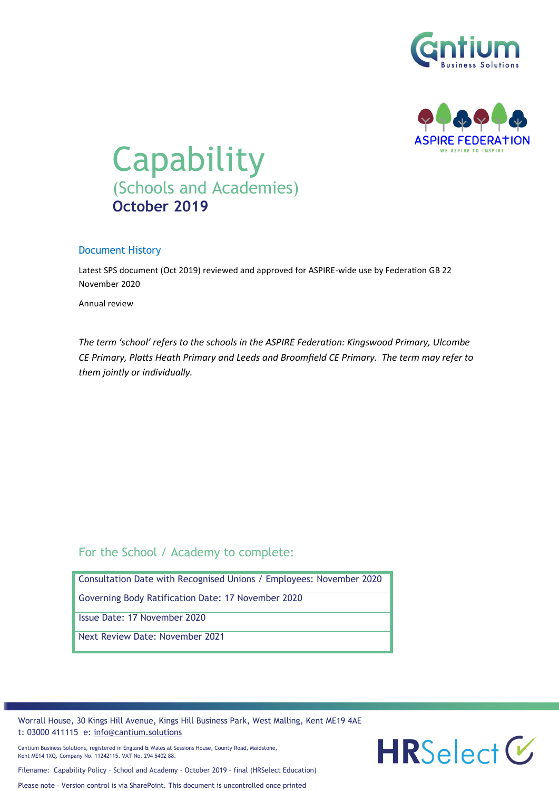



# Capability (Schools and Academies) **October 2019**

#### Document History

Latest SPS document (Oct 2019) reviewed and approved for ASPIRE-wide use by Federation GB 22 November 2020

Annual review

*The term 'school' refers to the schools in the ASPIRE Federation: Kingswood Primary, Ulcombe CE Primary, Platts Heath Primary and Leeds and Broomfield CE Primary. The term may refer to them jointly or individually.*

# For the School / Academy to complete:

| Consultation Date with Recognised Unions / Employees: November 2020 |
|---------------------------------------------------------------------|
| <b>Governing Body Ratification Date: 17 November 2020</b>           |
| Issue Date: 17 November 2020                                        |
| Next Review Date: November 2021                                     |

Worrall House, 30 Kings Hill Avenue, Kings Hill Business Park, West Malling, Kent ME19 4AE t: 03000 411115 e: [info@cantium.solutions](mailto:info@cantium.solutions)

Cantium Business Solutions, registered in England & Wales at Sessions House, County Road, Maidstone, Kent ME14 1XQ. Company No. 11242115. VAT No. 294 5402 88.



Please note – Version control is via SharePoint. This document is uncontrolled once printed

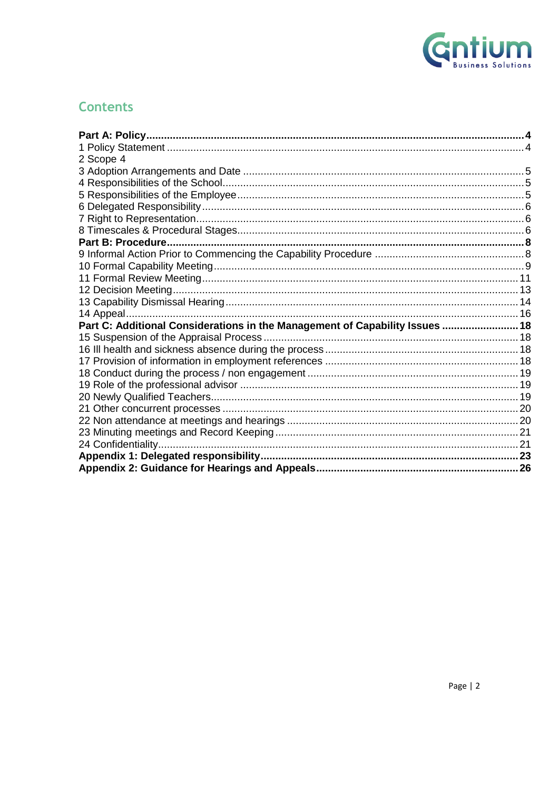

# **Contents**

| 2 Scope 4                                                                    |  |
|------------------------------------------------------------------------------|--|
|                                                                              |  |
|                                                                              |  |
|                                                                              |  |
|                                                                              |  |
|                                                                              |  |
|                                                                              |  |
|                                                                              |  |
|                                                                              |  |
|                                                                              |  |
|                                                                              |  |
|                                                                              |  |
|                                                                              |  |
|                                                                              |  |
| Part C: Additional Considerations in the Management of Capability Issues  18 |  |
|                                                                              |  |
|                                                                              |  |
|                                                                              |  |
|                                                                              |  |
|                                                                              |  |
|                                                                              |  |
|                                                                              |  |
|                                                                              |  |
|                                                                              |  |
|                                                                              |  |
|                                                                              |  |
|                                                                              |  |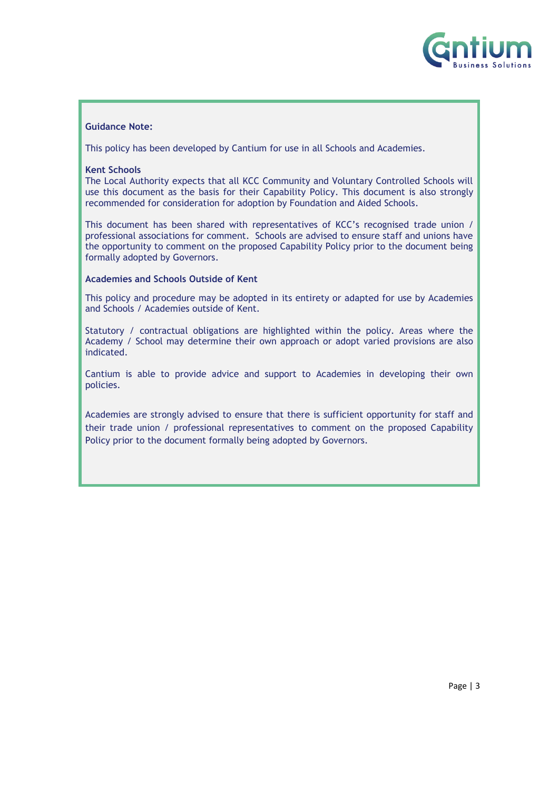

#### **Guidance Note:**

This policy has been developed by Cantium for use in all Schools and Academies.

#### **Kent Schools**

The Local Authority expects that all KCC Community and Voluntary Controlled Schools will use this document as the basis for their Capability Policy. This document is also strongly recommended for consideration for adoption by Foundation and Aided Schools.

This document has been shared with representatives of KCC's recognised trade union / professional associations for comment. Schools are advised to ensure staff and unions have the opportunity to comment on the proposed Capability Policy prior to the document being formally adopted by Governors.

#### **Academies and Schools Outside of Kent**

This policy and procedure may be adopted in its entirety or adapted for use by Academies and Schools / Academies outside of Kent.

Statutory / contractual obligations are highlighted within the policy. Areas where the Academy / School may determine their own approach or adopt varied provisions are also indicated.

Cantium is able to provide advice and support to Academies in developing their own policies.

Academies are strongly advised to ensure that there is sufficient opportunity for staff and their trade union / professional representatives to comment on the proposed Capability Policy prior to the document formally being adopted by Governors.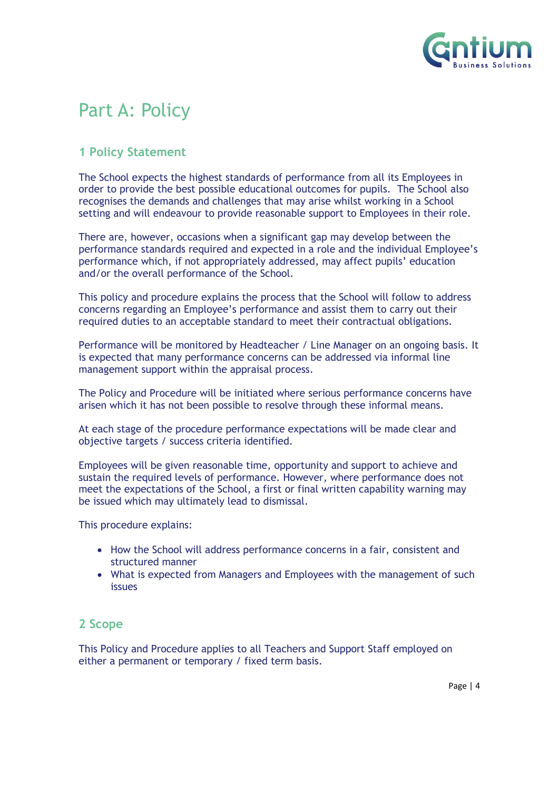

# <span id="page-3-0"></span>Part A: Policy

# <span id="page-3-1"></span>**1 Policy Statement**

The School expects the highest standards of performance from all its Employees in order to provide the best possible educational outcomes for pupils. The School also recognises the demands and challenges that may arise whilst working in a School setting and will endeavour to provide reasonable support to Employees in their role.

There are, however, occasions when a significant gap may develop between the performance standards required and expected in a role and the individual Employee's performance which, if not appropriately addressed, may affect pupils' education and/or the overall performance of the School.

This policy and procedure explains the process that the School will follow to address concerns regarding an Employee's performance and assist them to carry out their required duties to an acceptable standard to meet their contractual obligations.

Performance will be monitored by Headteacher / Line Manager on an ongoing basis. It is expected that many performance concerns can be addressed via informal line management support within the appraisal process.

The Policy and Procedure will be initiated where serious performance concerns have arisen which it has not been possible to resolve through these informal means.

At each stage of the procedure performance expectations will be made clear and objective targets / success criteria identified.

Employees will be given reasonable time, opportunity and support to achieve and sustain the required levels of performance. However, where performance does not meet the expectations of the School, a first or final written capability warning may be issued which may ultimately lead to dismissal.

This procedure explains:

- How the School will address performance concerns in a fair, consistent and structured manner
- What is expected from Managers and Employees with the management of such issues

## <span id="page-3-2"></span>**2 Scope**

This Policy and Procedure applies to all Teachers and Support Staff employed on either a permanent or temporary / fixed term basis.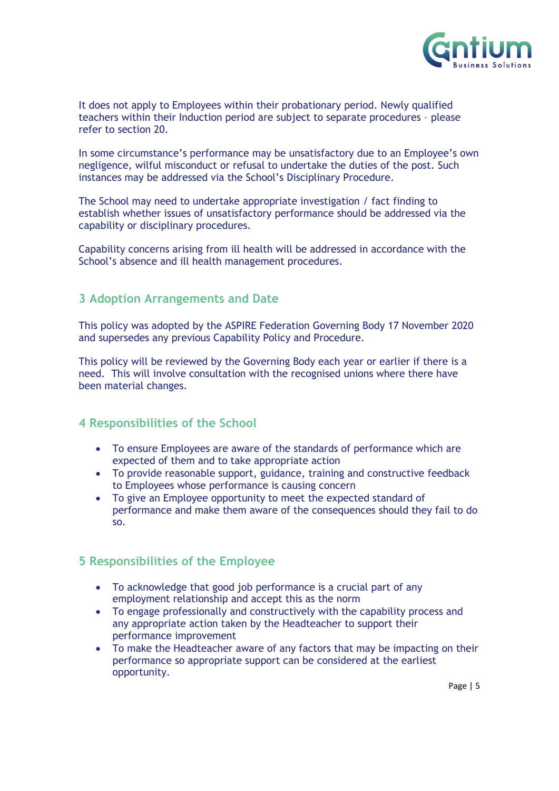

It does not apply to Employees within their probationary period. Newly qualified teachers within their Induction period are subject to separate procedures – please refer to section 20.

In some circumstance's performance may be unsatisfactory due to an Employee's own negligence, wilful misconduct or refusal to undertake the duties of the post. Such instances may be addressed via the School's Disciplinary Procedure.

The School may need to undertake appropriate investigation / fact finding to establish whether issues of unsatisfactory performance should be addressed via the capability or disciplinary procedures.

Capability concerns arising from ill health will be addressed in accordance with the School's absence and ill health management procedures.

### <span id="page-4-0"></span>**3 Adoption Arrangements and Date**

This policy was adopted by the ASPIRE Federation Governing Body 17 November 2020 and supersedes any previous Capability Policy and Procedure.

This policy will be reviewed by the Governing Body each year or earlier if there is a need. This will involve consultation with the recognised unions where there have been material changes.

## <span id="page-4-1"></span>**4 Responsibilities of the School**

- To ensure Employees are aware of the standards of performance which are expected of them and to take appropriate action
- To provide reasonable support, guidance, training and constructive feedback to Employees whose performance is causing concern
- To give an Employee opportunity to meet the expected standard of performance and make them aware of the consequences should they fail to do so.

## <span id="page-4-2"></span>**5 Responsibilities of the Employee**

- To acknowledge that good job performance is a crucial part of any employment relationship and accept this as the norm
- To engage professionally and constructively with the capability process and any appropriate action taken by the Headteacher to support their performance improvement
- To make the Headteacher aware of any factors that may be impacting on their performance so appropriate support can be considered at the earliest opportunity.

Page | 5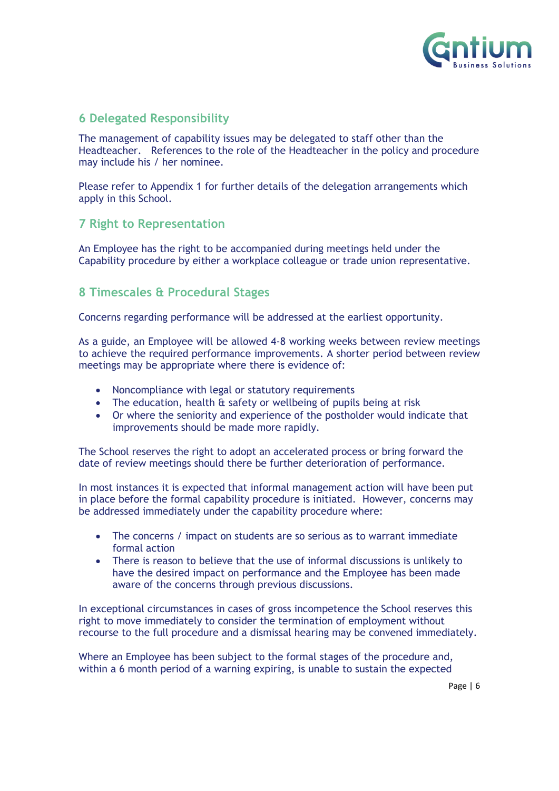

# <span id="page-5-0"></span>**6 Delegated Responsibility**

The management of capability issues may be delegated to staff other than the Headteacher. References to the role of the Headteacher in the policy and procedure may include his / her nominee.

Please refer to Appendix 1 for further details of the delegation arrangements which apply in this School.

# <span id="page-5-1"></span>**7 Right to Representation**

An Employee has the right to be accompanied during meetings held under the Capability procedure by either a workplace colleague or trade union representative.

# <span id="page-5-2"></span>**8 Timescales & Procedural Stages**

Concerns regarding performance will be addressed at the earliest opportunity.

As a guide, an Employee will be allowed 4-8 working weeks between review meetings to achieve the required performance improvements. A shorter period between review meetings may be appropriate where there is evidence of:

- Noncompliance with legal or statutory requirements
- The education, health & safety or wellbeing of pupils being at risk
- Or where the seniority and experience of the postholder would indicate that improvements should be made more rapidly.

The School reserves the right to adopt an accelerated process or bring forward the date of review meetings should there be further deterioration of performance.

In most instances it is expected that informal management action will have been put in place before the formal capability procedure is initiated. However, concerns may be addressed immediately under the capability procedure where:

- The concerns / impact on students are so serious as to warrant immediate formal action
- There is reason to believe that the use of informal discussions is unlikely to have the desired impact on performance and the Employee has been made aware of the concerns through previous discussions.

In exceptional circumstances in cases of gross incompetence the School reserves this right to move immediately to consider the termination of employment without recourse to the full procedure and a dismissal hearing may be convened immediately.

Where an Employee has been subject to the formal stages of the procedure and, within a 6 month period of a warning expiring, is unable to sustain the expected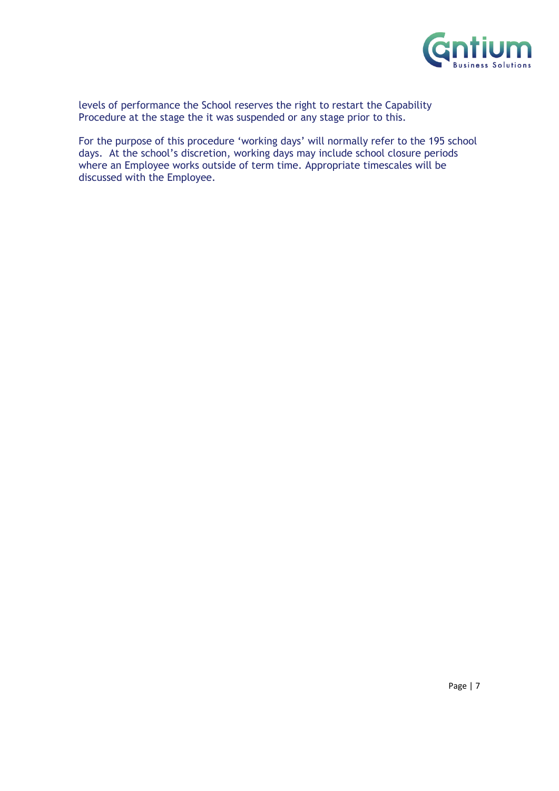

levels of performance the School reserves the right to restart the Capability Procedure at the stage the it was suspended or any stage prior to this.

For the purpose of this procedure 'working days' will normally refer to the 195 school days. At the school's discretion, working days may include school closure periods where an Employee works outside of term time. Appropriate timescales will be discussed with the Employee.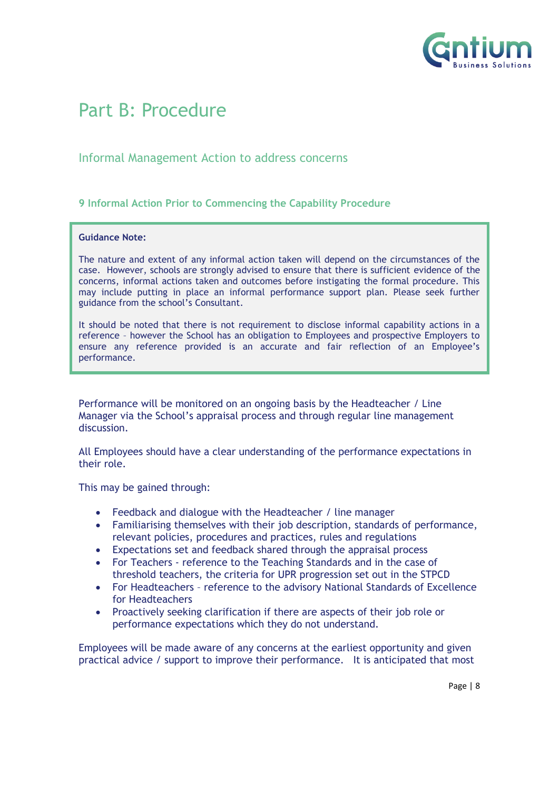

# <span id="page-7-0"></span>Part B: Procedure

## Informal Management Action to address concerns

#### <span id="page-7-1"></span>**9 Informal Action Prior to Commencing the Capability Procedure**

#### **Guidance Note:**

The nature and extent of any informal action taken will depend on the circumstances of the case. However, schools are strongly advised to ensure that there is sufficient evidence of the concerns, informal actions taken and outcomes before instigating the formal procedure. This may include putting in place an informal performance support plan. Please seek further guidance from the school's Consultant.

It should be noted that there is not requirement to disclose informal capability actions in a reference – however the School has an obligation to Employees and prospective Employers to ensure any reference provided is an accurate and fair reflection of an Employee's performance.

Performance will be monitored on an ongoing basis by the Headteacher / Line Manager via the School's appraisal process and through regular line management discussion.

All Employees should have a clear understanding of the performance expectations in their role.

This may be gained through:

- Feedback and dialogue with the Headteacher / line manager
- Familiarising themselves with their job description, standards of performance, relevant policies, procedures and practices, rules and regulations
- Expectations set and feedback shared through the appraisal process
- For Teachers reference to the Teaching Standards and in the case of threshold teachers, the criteria for UPR progression set out in the STPCD
- For Headteachers reference to the advisory National Standards of Excellence for Headteachers
- Proactively seeking clarification if there are aspects of their job role or performance expectations which they do not understand.

Employees will be made aware of any concerns at the earliest opportunity and given practical advice / support to improve their performance. It is anticipated that most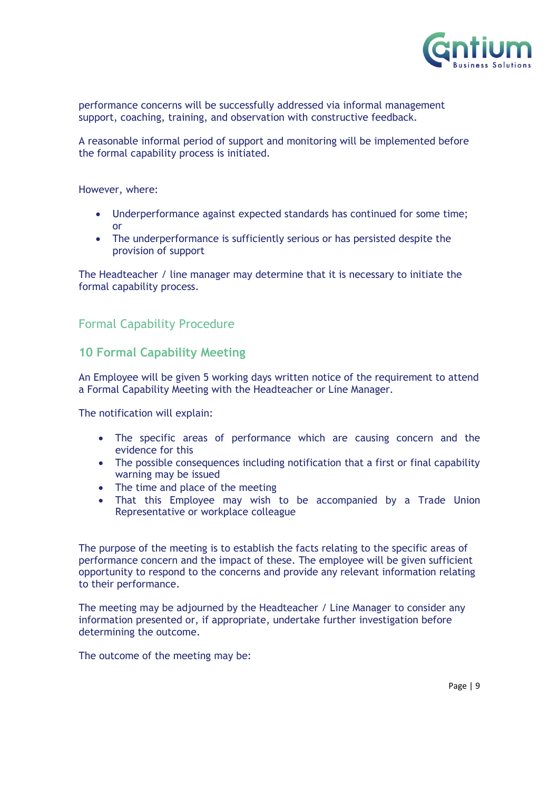

performance concerns will be successfully addressed via informal management support, coaching, training, and observation with constructive feedback.

A reasonable informal period of support and monitoring will be implemented before the formal capability process is initiated.

However, where:

- Underperformance against expected standards has continued for some time; or
- The underperformance is sufficiently serious or has persisted despite the provision of support

The Headteacher  $\ell$  line manager may determine that it is necessary to initiate the formal capability process.

# Formal Capability Procedure

### <span id="page-8-0"></span>**10 Formal Capability Meeting**

An Employee will be given 5 working days written notice of the requirement to attend a Formal Capability Meeting with the Headteacher or Line Manager.

The notification will explain:

- The specific areas of performance which are causing concern and the evidence for this
- The possible consequences including notification that a first or final capability warning may be issued
- The time and place of the meeting
- That this Employee may wish to be accompanied by a Trade Union Representative or workplace colleague

The purpose of the meeting is to establish the facts relating to the specific areas of performance concern and the impact of these. The employee will be given sufficient opportunity to respond to the concerns and provide any relevant information relating to their performance.

The meeting may be adjourned by the Headteacher / Line Manager to consider any information presented or, if appropriate, undertake further investigation before determining the outcome.

The outcome of the meeting may be: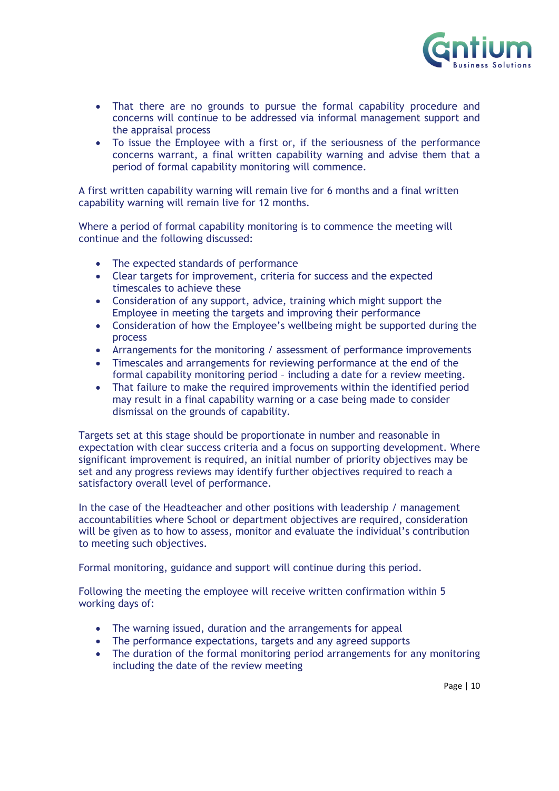

- That there are no grounds to pursue the formal capability procedure and concerns will continue to be addressed via informal management support and the appraisal process
- To issue the Employee with a first or, if the seriousness of the performance concerns warrant, a final written capability warning and advise them that a period of formal capability monitoring will commence.

A first written capability warning will remain live for 6 months and a final written capability warning will remain live for 12 months.

Where a period of formal capability monitoring is to commence the meeting will continue and the following discussed:

- The expected standards of performance
- Clear targets for improvement, criteria for success and the expected timescales to achieve these
- Consideration of any support, advice, training which might support the Employee in meeting the targets and improving their performance
- Consideration of how the Employee's wellbeing might be supported during the process
- Arrangements for the monitoring / assessment of performance improvements
- Timescales and arrangements for reviewing performance at the end of the formal capability monitoring period – including a date for a review meeting.
- That failure to make the required improvements within the identified period may result in a final capability warning or a case being made to consider dismissal on the grounds of capability.

Targets set at this stage should be proportionate in number and reasonable in expectation with clear success criteria and a focus on supporting development. Where significant improvement is required, an initial number of priority objectives may be set and any progress reviews may identify further objectives required to reach a satisfactory overall level of performance.

In the case of the Headteacher and other positions with leadership / management accountabilities where School or department objectives are required, consideration will be given as to how to assess, monitor and evaluate the individual's contribution to meeting such objectives.

Formal monitoring, guidance and support will continue during this period.

Following the meeting the employee will receive written confirmation within 5 working days of:

- The warning issued, duration and the arrangements for appeal
- The performance expectations, targets and any agreed supports
- The duration of the formal monitoring period arrangements for any monitoring including the date of the review meeting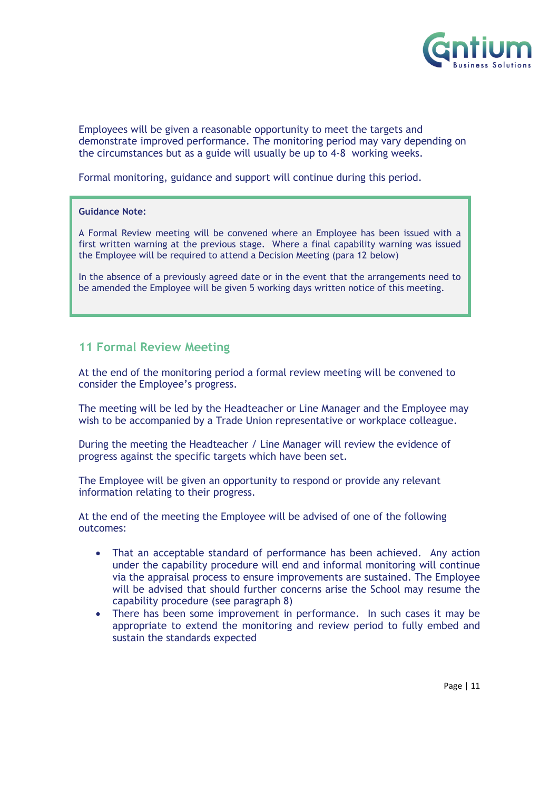

Employees will be given a reasonable opportunity to meet the targets and demonstrate improved performance. The monitoring period may vary depending on the circumstances but as a guide will usually be up to 4-8 working weeks.

Formal monitoring, guidance and support will continue during this period.

#### **Guidance Note:**

A Formal Review meeting will be convened where an Employee has been issued with a first written warning at the previous stage. Where a final capability warning was issued the Employee will be required to attend a Decision Meeting (para 12 below)

In the absence of a previously agreed date or in the event that the arrangements need to be amended the Employee will be given 5 working days written notice of this meeting.

# <span id="page-10-0"></span>**11 Formal Review Meeting**

At the end of the monitoring period a formal review meeting will be convened to consider the Employee's progress.

The meeting will be led by the Headteacher or Line Manager and the Employee may wish to be accompanied by a Trade Union representative or workplace colleague.

During the meeting the Headteacher / Line Manager will review the evidence of progress against the specific targets which have been set.

The Employee will be given an opportunity to respond or provide any relevant information relating to their progress.

At the end of the meeting the Employee will be advised of one of the following outcomes:

- That an acceptable standard of performance has been achieved. Any action under the capability procedure will end and informal monitoring will continue via the appraisal process to ensure improvements are sustained. The Employee will be advised that should further concerns arise the School may resume the capability procedure (see paragraph 8)
- There has been some improvement in performance. In such cases it may be appropriate to extend the monitoring and review period to fully embed and sustain the standards expected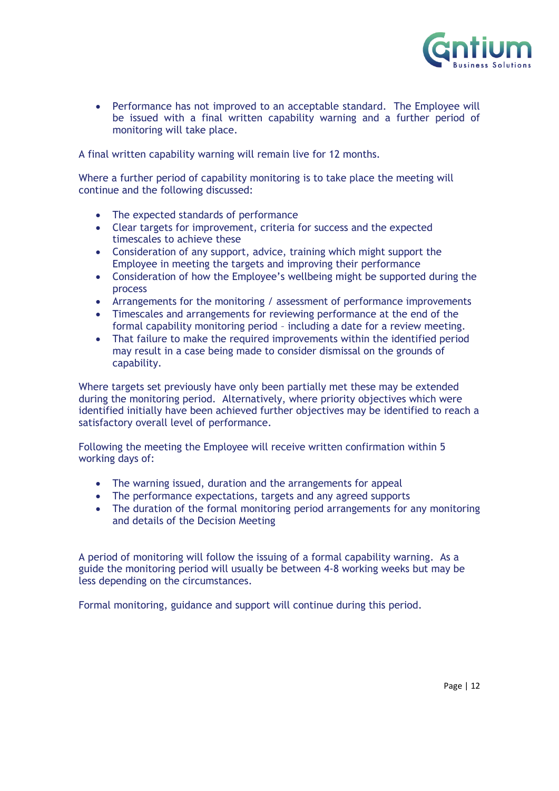

 Performance has not improved to an acceptable standard. The Employee will be issued with a final written capability warning and a further period of monitoring will take place.

A final written capability warning will remain live for 12 months.

Where a further period of capability monitoring is to take place the meeting will continue and the following discussed:

- The expected standards of performance
- Clear targets for improvement, criteria for success and the expected timescales to achieve these
- Consideration of any support, advice, training which might support the Employee in meeting the targets and improving their performance
- Consideration of how the Employee's wellbeing might be supported during the process
- Arrangements for the monitoring / assessment of performance improvements
- Timescales and arrangements for reviewing performance at the end of the formal capability monitoring period – including a date for a review meeting.
- That failure to make the required improvements within the identified period may result in a case being made to consider dismissal on the grounds of capability.

Where targets set previously have only been partially met these may be extended during the monitoring period. Alternatively, where priority objectives which were identified initially have been achieved further objectives may be identified to reach a satisfactory overall level of performance.

Following the meeting the Employee will receive written confirmation within 5 working days of:

- The warning issued, duration and the arrangements for appeal
- The performance expectations, targets and any agreed supports
- The duration of the formal monitoring period arrangements for any monitoring and details of the Decision Meeting

A period of monitoring will follow the issuing of a formal capability warning. As a guide the monitoring period will usually be between 4-8 working weeks but may be less depending on the circumstances.

Formal monitoring, guidance and support will continue during this period.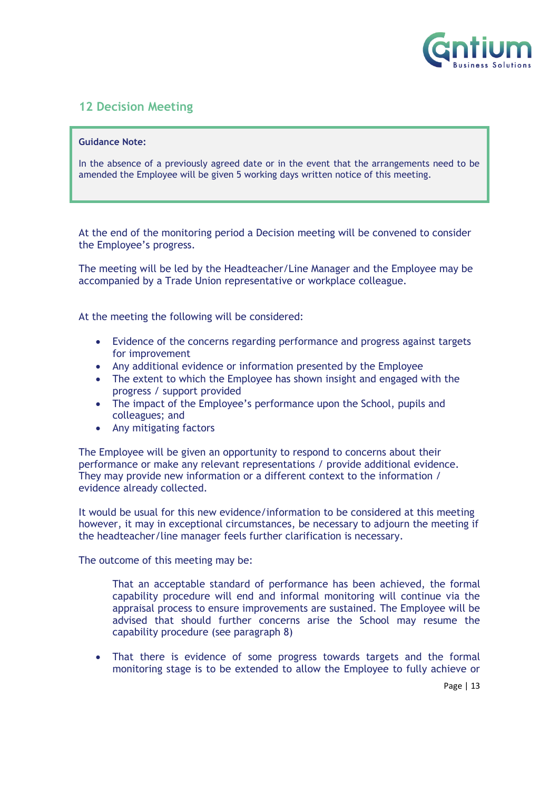

# <span id="page-12-0"></span>**12 Decision Meeting**

#### **Guidance Note:**

In the absence of a previously agreed date or in the event that the arrangements need to be amended the Employee will be given 5 working days written notice of this meeting.

At the end of the monitoring period a Decision meeting will be convened to consider the Employee's progress.

The meeting will be led by the Headteacher/Line Manager and the Employee may be accompanied by a Trade Union representative or workplace colleague.

At the meeting the following will be considered:

- Evidence of the concerns regarding performance and progress against targets for improvement
- Any additional evidence or information presented by the Employee
- The extent to which the Employee has shown insight and engaged with the progress / support provided
- The impact of the Employee's performance upon the School, pupils and colleagues; and
- Any mitigating factors

The Employee will be given an opportunity to respond to concerns about their performance or make any relevant representations / provide additional evidence. They may provide new information or a different context to the information / evidence already collected.

It would be usual for this new evidence/information to be considered at this meeting however, it may in exceptional circumstances, be necessary to adjourn the meeting if the headteacher/line manager feels further clarification is necessary.

The outcome of this meeting may be:

That an acceptable standard of performance has been achieved, the formal capability procedure will end and informal monitoring will continue via the appraisal process to ensure improvements are sustained. The Employee will be advised that should further concerns arise the School may resume the capability procedure (see paragraph 8)

 That there is evidence of some progress towards targets and the formal monitoring stage is to be extended to allow the Employee to fully achieve or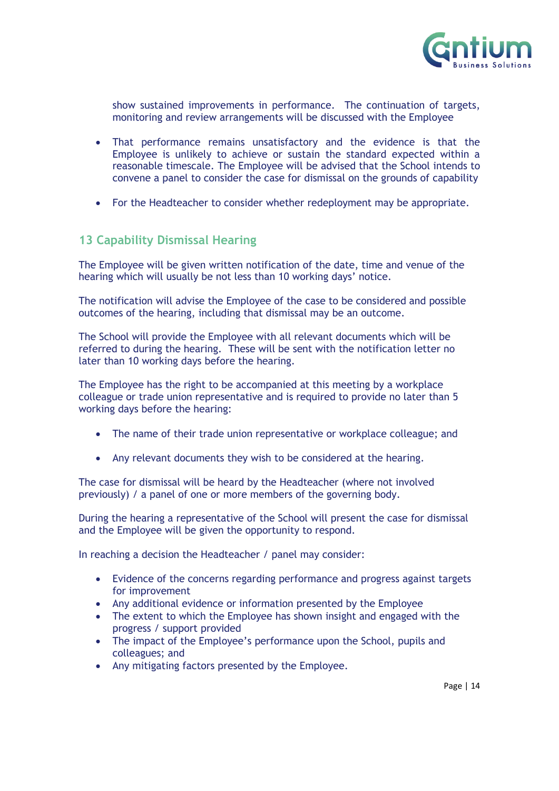

show sustained improvements in performance. The continuation of targets, monitoring and review arrangements will be discussed with the Employee

- That performance remains unsatisfactory and the evidence is that the Employee is unlikely to achieve or sustain the standard expected within a reasonable timescale. The Employee will be advised that the School intends to convene a panel to consider the case for dismissal on the grounds of capability
- For the Headteacher to consider whether redeployment may be appropriate.

## <span id="page-13-0"></span>**13 Capability Dismissal Hearing**

The Employee will be given written notification of the date, time and venue of the hearing which will usually be not less than 10 working days' notice.

The notification will advise the Employee of the case to be considered and possible outcomes of the hearing, including that dismissal may be an outcome.

The School will provide the Employee with all relevant documents which will be referred to during the hearing. These will be sent with the notification letter no later than 10 working days before the hearing.

The Employee has the right to be accompanied at this meeting by a workplace colleague or trade union representative and is required to provide no later than 5 working days before the hearing:

- The name of their trade union representative or workplace colleague; and
- Any relevant documents they wish to be considered at the hearing.

The case for dismissal will be heard by the Headteacher (where not involved previously) / a panel of one or more members of the governing body.

During the hearing a representative of the School will present the case for dismissal and the Employee will be given the opportunity to respond.

In reaching a decision the Headteacher / panel may consider:

- Evidence of the concerns regarding performance and progress against targets for improvement
- Any additional evidence or information presented by the Employee
- The extent to which the Employee has shown insight and engaged with the progress / support provided
- The impact of the Employee's performance upon the School, pupils and colleagues; and
- Any mitigating factors presented by the Employee.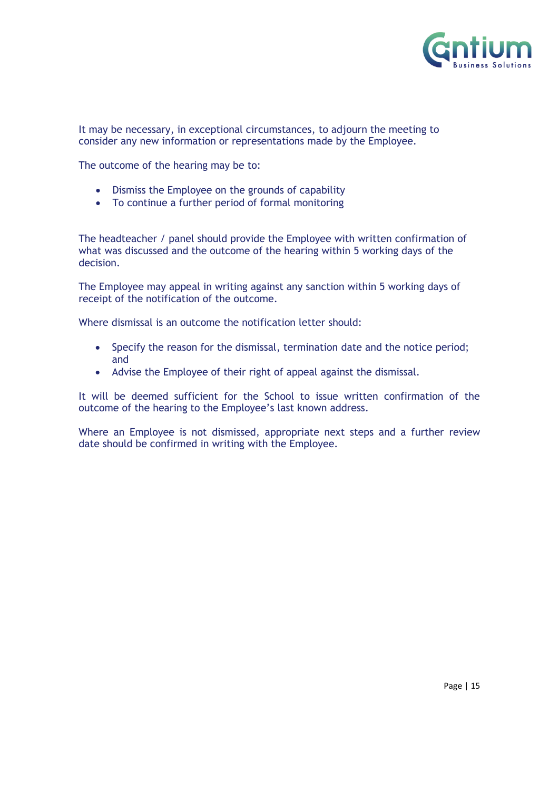

It may be necessary, in exceptional circumstances, to adjourn the meeting to consider any new information or representations made by the Employee.

The outcome of the hearing may be to:

- Dismiss the Employee on the grounds of capability
- To continue a further period of formal monitoring

The headteacher / panel should provide the Employee with written confirmation of what was discussed and the outcome of the hearing within 5 working days of the decision.

The Employee may appeal in writing against any sanction within 5 working days of receipt of the notification of the outcome.

Where dismissal is an outcome the notification letter should:

- Specify the reason for the dismissal, termination date and the notice period; and
- Advise the Employee of their right of appeal against the dismissal.

It will be deemed sufficient for the School to issue written confirmation of the outcome of the hearing to the Employee's last known address.

Where an Employee is not dismissed, appropriate next steps and a further review date should be confirmed in writing with the Employee.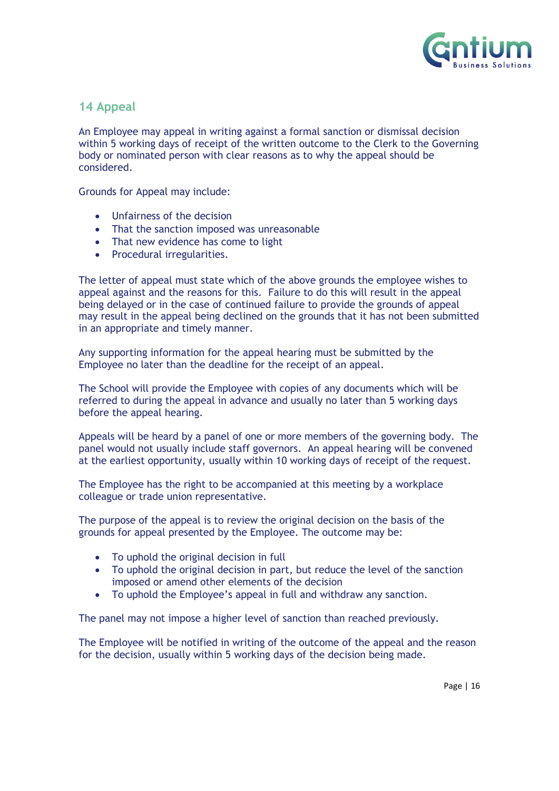

## <span id="page-15-0"></span>**14 Appeal**

An Employee may appeal in writing against a formal sanction or dismissal decision within 5 working days of receipt of the written outcome to the Clerk to the Governing body or nominated person with clear reasons as to why the appeal should be considered.

Grounds for Appeal may include:

- Unfairness of the decision
- That the sanction imposed was unreasonable
- That new evidence has come to light
- Procedural irregularities.

The letter of appeal must state which of the above grounds the employee wishes to appeal against and the reasons for this. Failure to do this will result in the appeal being delayed or in the case of continued failure to provide the grounds of appeal may result in the appeal being declined on the grounds that it has not been submitted in an appropriate and timely manner.

Any supporting information for the appeal hearing must be submitted by the Employee no later than the deadline for the receipt of an appeal.

The School will provide the Employee with copies of any documents which will be referred to during the appeal in advance and usually no later than 5 working days before the appeal hearing.

Appeals will be heard by a panel of one or more members of the governing body. The panel would not usually include staff governors. An appeal hearing will be convened at the earliest opportunity, usually within 10 working days of receipt of the request.

The Employee has the right to be accompanied at this meeting by a workplace colleague or trade union representative.

The purpose of the appeal is to review the original decision on the basis of the grounds for appeal presented by the Employee. The outcome may be:

- To uphold the original decision in full
- To uphold the original decision in part, but reduce the level of the sanction imposed or amend other elements of the decision
- To uphold the Employee's appeal in full and withdraw any sanction.

The panel may not impose a higher level of sanction than reached previously.

The Employee will be notified in writing of the outcome of the appeal and the reason for the decision, usually within 5 working days of the decision being made.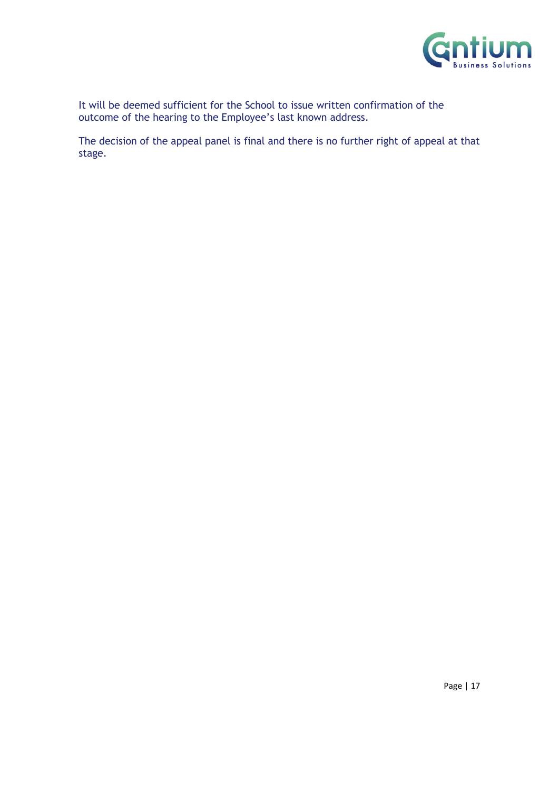

It will be deemed sufficient for the School to issue written confirmation of the outcome of the hearing to the Employee's last known address.

The decision of the appeal panel is final and there is no further right of appeal at that stage.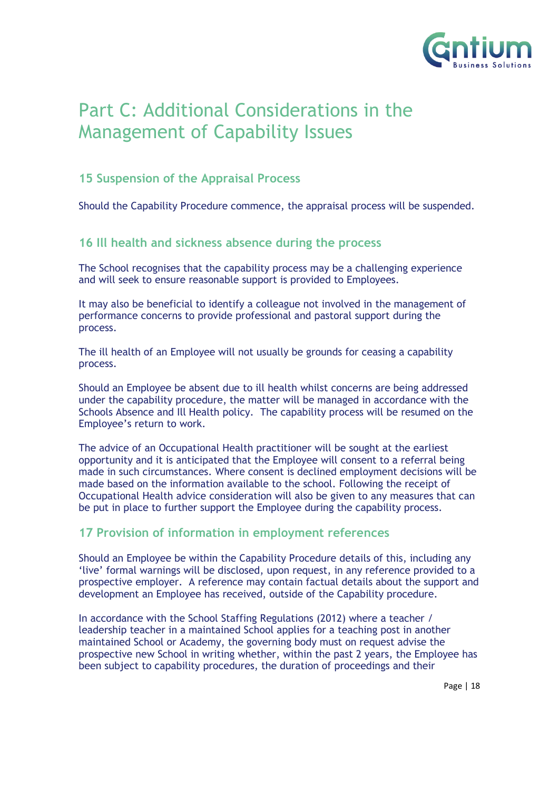

# <span id="page-17-0"></span>Part C: Additional Considerations in the Management of Capability Issues

# <span id="page-17-1"></span>**15 Suspension of the Appraisal Process**

Should the Capability Procedure commence, the appraisal process will be suspended.

# <span id="page-17-2"></span>**16 Ill health and sickness absence during the process**

The School recognises that the capability process may be a challenging experience and will seek to ensure reasonable support is provided to Employees.

It may also be beneficial to identify a colleague not involved in the management of performance concerns to provide professional and pastoral support during the process.

The ill health of an Employee will not usually be grounds for ceasing a capability process.

Should an Employee be absent due to ill health whilst concerns are being addressed under the capability procedure, the matter will be managed in accordance with the Schools Absence and Ill Health policy. The capability process will be resumed on the Employee's return to work.

The advice of an Occupational Health practitioner will be sought at the earliest opportunity and it is anticipated that the Employee will consent to a referral being made in such circumstances. Where consent is declined employment decisions will be made based on the information available to the school. Following the receipt of Occupational Health advice consideration will also be given to any measures that can be put in place to further support the Employee during the capability process.

## <span id="page-17-3"></span>**17 Provision of information in employment references**

Should an Employee be within the Capability Procedure details of this, including any 'live' formal warnings will be disclosed, upon request, in any reference provided to a prospective employer. A reference may contain factual details about the support and development an Employee has received, outside of the Capability procedure.

In accordance with the School Staffing Regulations (2012) where a teacher / leadership teacher in a maintained School applies for a teaching post in another maintained School or Academy, the governing body must on request advise the prospective new School in writing whether, within the past 2 years, the Employee has been subject to capability procedures, the duration of proceedings and their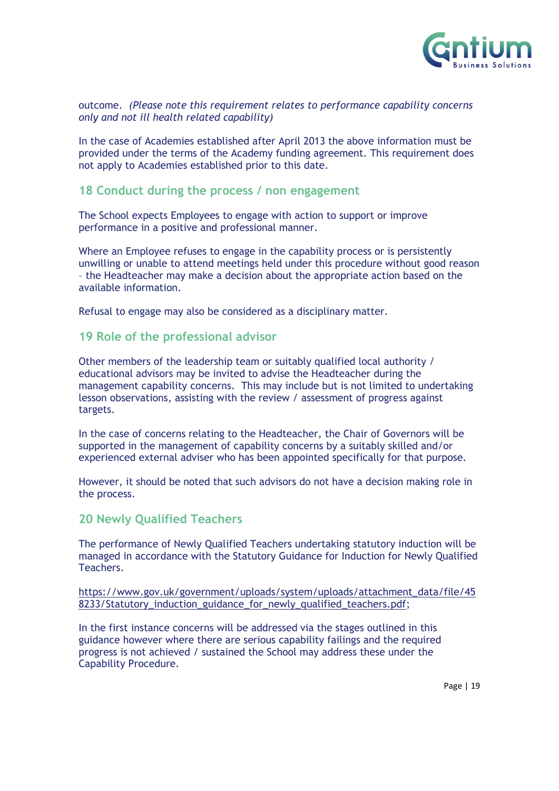

#### outcome. *(Please note this requirement relates to performance capability concerns only and not ill health related capability)*

In the case of Academies established after April 2013 the above information must be provided under the terms of the Academy funding agreement. This requirement does not apply to Academies established prior to this date.

### <span id="page-18-0"></span>**18 Conduct during the process / non engagement**

The School expects Employees to engage with action to support or improve performance in a positive and professional manner.

Where an Employee refuses to engage in the capability process or is persistently unwilling or unable to attend meetings held under this procedure without good reason – the Headteacher may make a decision about the appropriate action based on the available information.

Refusal to engage may also be considered as a disciplinary matter.

### <span id="page-18-1"></span>**19 Role of the professional advisor**

Other members of the leadership team or suitably qualified local authority / educational advisors may be invited to advise the Headteacher during the management capability concerns. This may include but is not limited to undertaking lesson observations, assisting with the review / assessment of progress against targets.

In the case of concerns relating to the Headteacher, the Chair of Governors will be supported in the management of capability concerns by a suitably skilled and/or experienced external adviser who has been appointed specifically for that purpose.

However, it should be noted that such advisors do not have a decision making role in the process.

#### <span id="page-18-2"></span>**20 Newly Qualified Teachers**

The performance of Newly Qualified Teachers undertaking statutory induction will be managed in accordance with the Statutory Guidance for Induction for Newly Qualified Teachers.

[https://www.gov.uk/government/uploads/system/uploads/attachment\\_data/file/45](https://www.gov.uk/government/uploads/system/uploads/attachment_data/file/458233/Statutory_induction_guidance_for_newly_qualified_teachers.pdf) 8233/Statutory induction guidance for newly qualified teachers.pdf;

In the first instance concerns will be addressed via the stages outlined in this guidance however where there are serious capability failings and the required progress is not achieved / sustained the School may address these under the Capability Procedure.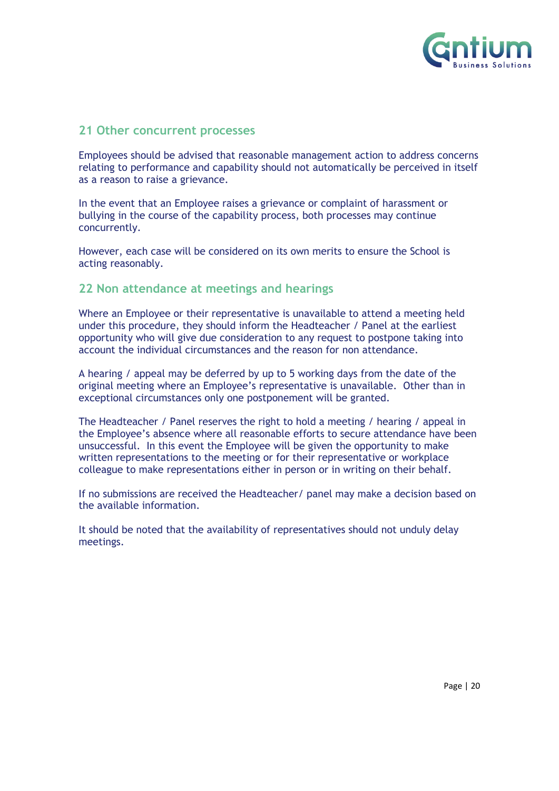

#### <span id="page-19-0"></span>**21 Other concurrent processes**

Employees should be advised that reasonable management action to address concerns relating to performance and capability should not automatically be perceived in itself as a reason to raise a grievance.

In the event that an Employee raises a grievance or complaint of harassment or bullying in the course of the capability process, both processes may continue concurrently.

However, each case will be considered on its own merits to ensure the School is acting reasonably.

#### <span id="page-19-1"></span>**22 Non attendance at meetings and hearings**

Where an Employee or their representative is unavailable to attend a meeting held under this procedure, they should inform the Headteacher / Panel at the earliest opportunity who will give due consideration to any request to postpone taking into account the individual circumstances and the reason for non attendance.

A hearing / appeal may be deferred by up to 5 working days from the date of the original meeting where an Employee's representative is unavailable. Other than in exceptional circumstances only one postponement will be granted.

The Headteacher / Panel reserves the right to hold a meeting / hearing / appeal in the Employee's absence where all reasonable efforts to secure attendance have been unsuccessful. In this event the Employee will be given the opportunity to make written representations to the meeting or for their representative or workplace colleague to make representations either in person or in writing on their behalf.

If no submissions are received the Headteacher/ panel may make a decision based on the available information.

It should be noted that the availability of representatives should not unduly delay meetings.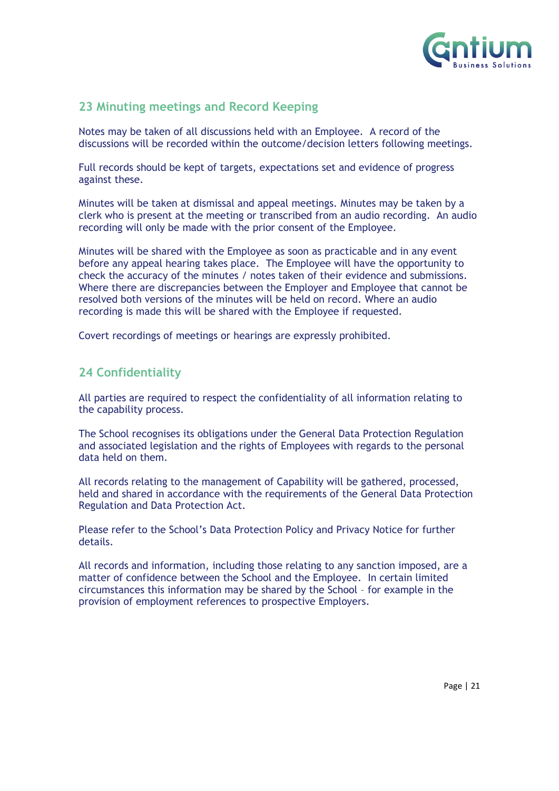

# <span id="page-20-0"></span>**23 Minuting meetings and Record Keeping**

Notes may be taken of all discussions held with an Employee. A record of the discussions will be recorded within the outcome/decision letters following meetings.

Full records should be kept of targets, expectations set and evidence of progress against these.

Minutes will be taken at dismissal and appeal meetings. Minutes may be taken by a clerk who is present at the meeting or transcribed from an audio recording. An audio recording will only be made with the prior consent of the Employee.

Minutes will be shared with the Employee as soon as practicable and in any event before any appeal hearing takes place. The Employee will have the opportunity to check the accuracy of the minutes / notes taken of their evidence and submissions. Where there are discrepancies between the Employer and Employee that cannot be resolved both versions of the minutes will be held on record. Where an audio recording is made this will be shared with the Employee if requested.

Covert recordings of meetings or hearings are expressly prohibited.

# <span id="page-20-1"></span>**24 Confidentiality**

All parties are required to respect the confidentiality of all information relating to the capability process.

The School recognises its obligations under the General Data Protection Regulation and associated legislation and the rights of Employees with regards to the personal data held on them.

All records relating to the management of Capability will be gathered, processed, held and shared in accordance with the requirements of the General Data Protection Regulation and Data Protection Act.

Please refer to the School's Data Protection Policy and Privacy Notice for further details.

All records and information, including those relating to any sanction imposed, are a matter of confidence between the School and the Employee. In certain limited circumstances this information may be shared by the School – for example in the provision of employment references to prospective Employers.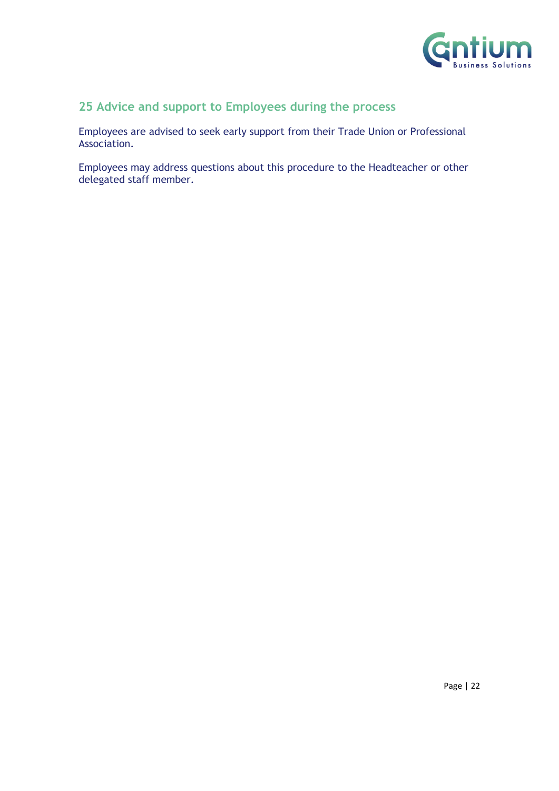

# **25 Advice and support to Employees during the process**

Employees are advised to seek early support from their Trade Union or Professional Association.

Employees may address questions about this procedure to the Headteacher or other delegated staff member.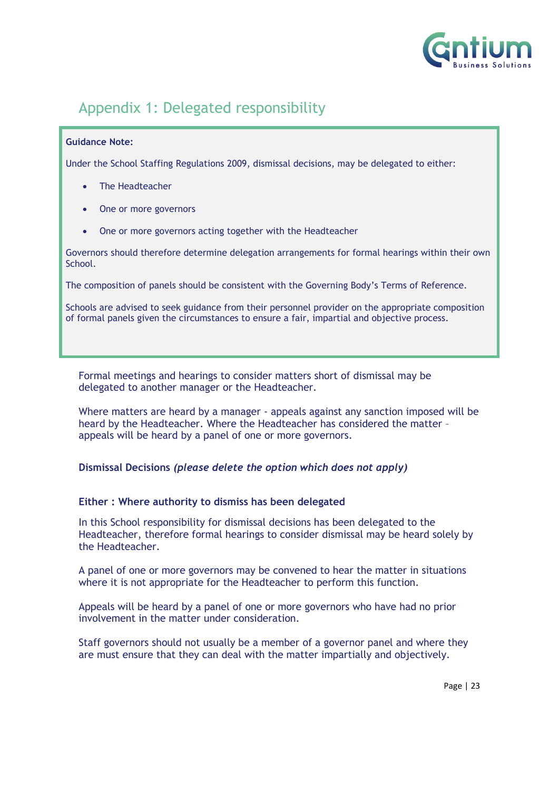

# <span id="page-22-0"></span>Appendix 1: Delegated responsibility

#### **Guidance Note:**

Under the School Staffing Regulations 2009, dismissal decisions, may be delegated to either:

- The Headteacher
- One or more governors
- One or more governors acting together with the Headteacher

Governors should therefore determine delegation arrangements for formal hearings within their own School.

The composition of panels should be consistent with the Governing Body's Terms of Reference.

Schools are advised to seek guidance from their personnel provider on the appropriate composition of formal panels given the circumstances to ensure a fair, impartial and objective process.

Formal meetings and hearings to consider matters short of dismissal may be delegated to another manager or the Headteacher.

Where matters are heard by a manager - appeals against any sanction imposed will be heard by the Headteacher. Where the Headteacher has considered the matter – appeals will be heard by a panel of one or more governors.

**Dismissal Decisions** *(please delete the option which does not apply)*

#### **Either : Where authority to dismiss has been delegated**

In this School responsibility for dismissal decisions has been delegated to the Headteacher, therefore formal hearings to consider dismissal may be heard solely by the Headteacher.

A panel of one or more governors may be convened to hear the matter in situations where it is not appropriate for the Headteacher to perform this function.

Appeals will be heard by a panel of one or more governors who have had no prior involvement in the matter under consideration.

Staff governors should not usually be a member of a governor panel and where they are must ensure that they can deal with the matter impartially and objectively.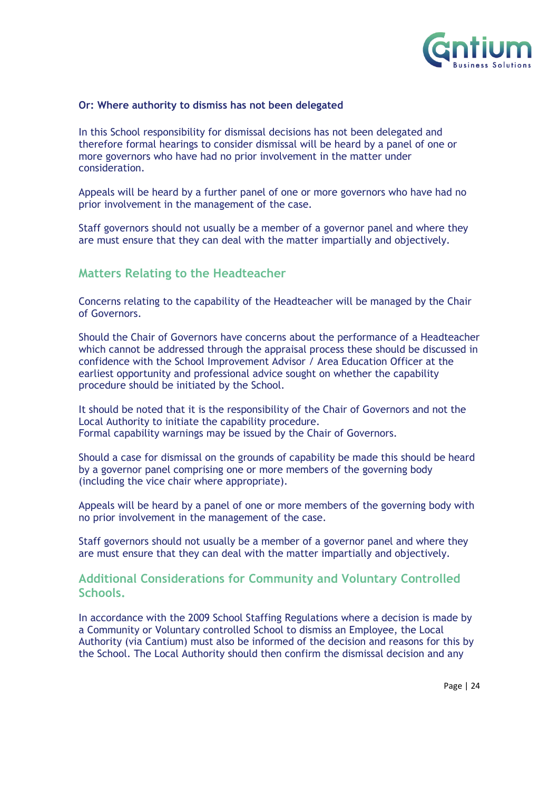

#### **Or: Where authority to dismiss has not been delegated**

In this School responsibility for dismissal decisions has not been delegated and therefore formal hearings to consider dismissal will be heard by a panel of one or more governors who have had no prior involvement in the matter under consideration.

Appeals will be heard by a further panel of one or more governors who have had no prior involvement in the management of the case.

Staff governors should not usually be a member of a governor panel and where they are must ensure that they can deal with the matter impartially and objectively.

### **Matters Relating to the Headteacher**

Concerns relating to the capability of the Headteacher will be managed by the Chair of Governors.

Should the Chair of Governors have concerns about the performance of a Headteacher which cannot be addressed through the appraisal process these should be discussed in confidence with the School Improvement Advisor / Area Education Officer at the earliest opportunity and professional advice sought on whether the capability procedure should be initiated by the School.

It should be noted that it is the responsibility of the Chair of Governors and not the Local Authority to initiate the capability procedure. Formal capability warnings may be issued by the Chair of Governors.

Should a case for dismissal on the grounds of capability be made this should be heard by a governor panel comprising one or more members of the governing body (including the vice chair where appropriate).

Appeals will be heard by a panel of one or more members of the governing body with no prior involvement in the management of the case.

Staff governors should not usually be a member of a governor panel and where they are must ensure that they can deal with the matter impartially and objectively.

#### **Additional Considerations for Community and Voluntary Controlled Schools.**

In accordance with the 2009 School Staffing Regulations where a decision is made by a Community or Voluntary controlled School to dismiss an Employee, the Local Authority (via Cantium) must also be informed of the decision and reasons for this by the School. The Local Authority should then confirm the dismissal decision and any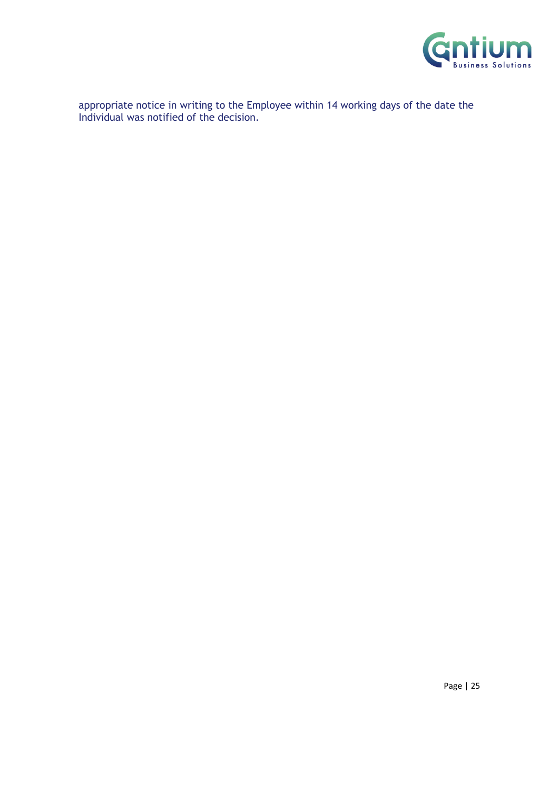

appropriate notice in writing to the Employee within 14 working days of the date the Individual was notified of the decision.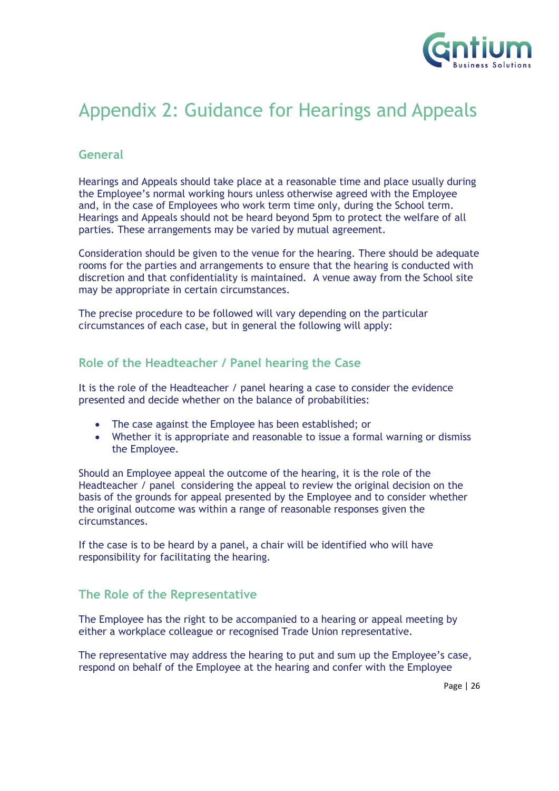

# <span id="page-25-0"></span>Appendix 2: Guidance for Hearings and Appeals

## **General**

Hearings and Appeals should take place at a reasonable time and place usually during the Employee's normal working hours unless otherwise agreed with the Employee and, in the case of Employees who work term time only, during the School term. Hearings and Appeals should not be heard beyond 5pm to protect the welfare of all parties. These arrangements may be varied by mutual agreement.

Consideration should be given to the venue for the hearing. There should be adequate rooms for the parties and arrangements to ensure that the hearing is conducted with discretion and that confidentiality is maintained. A venue away from the School site may be appropriate in certain circumstances.

The precise procedure to be followed will vary depending on the particular circumstances of each case, but in general the following will apply:

### **Role of the Headteacher / Panel hearing the Case**

It is the role of the Headteacher / panel hearing a case to consider the evidence presented and decide whether on the balance of probabilities:

- The case against the Employee has been established; or
- Whether it is appropriate and reasonable to issue a formal warning or dismiss the Employee.

Should an Employee appeal the outcome of the hearing, it is the role of the Headteacher / panel considering the appeal to review the original decision on the basis of the grounds for appeal presented by the Employee and to consider whether the original outcome was within a range of reasonable responses given the circumstances.

If the case is to be heard by a panel, a chair will be identified who will have responsibility for facilitating the hearing.

### **The Role of the Representative**

The Employee has the right to be accompanied to a hearing or appeal meeting by either a workplace colleague or recognised Trade Union representative.

The representative may address the hearing to put and sum up the Employee's case, respond on behalf of the Employee at the hearing and confer with the Employee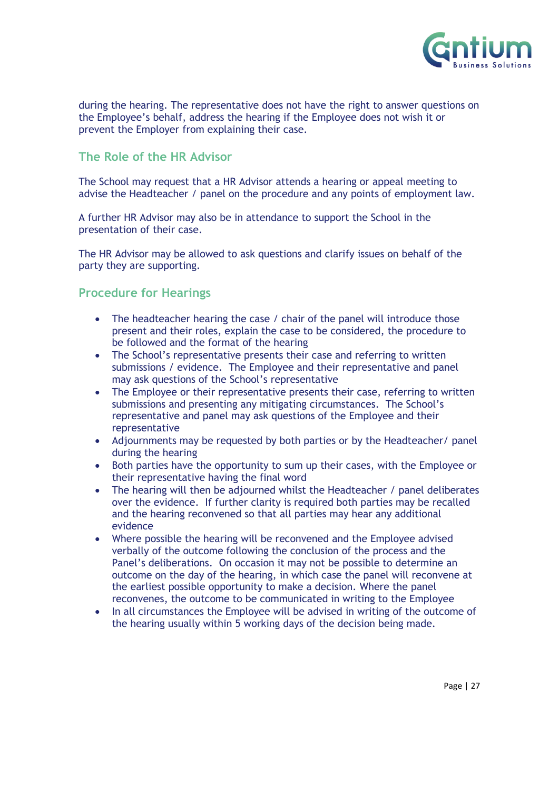

during the hearing. The representative does not have the right to answer questions on the Employee's behalf, address the hearing if the Employee does not wish it or prevent the Employer from explaining their case.

## **The Role of the HR Advisor**

The School may request that a HR Advisor attends a hearing or appeal meeting to advise the Headteacher / panel on the procedure and any points of employment law.

A further HR Advisor may also be in attendance to support the School in the presentation of their case.

The HR Advisor may be allowed to ask questions and clarify issues on behalf of the party they are supporting.

# **Procedure for Hearings**

- The headteacher hearing the case / chair of the panel will introduce those present and their roles, explain the case to be considered, the procedure to be followed and the format of the hearing
- The School's representative presents their case and referring to written submissions / evidence. The Employee and their representative and panel may ask questions of the School's representative
- The Employee or their representative presents their case, referring to written submissions and presenting any mitigating circumstances. The School's representative and panel may ask questions of the Employee and their representative
- Adjournments may be requested by both parties or by the Headteacher/ panel during the hearing
- Both parties have the opportunity to sum up their cases, with the Employee or their representative having the final word
- The hearing will then be adjourned whilst the Headteacher / panel deliberates over the evidence. If further clarity is required both parties may be recalled and the hearing reconvened so that all parties may hear any additional evidence
- Where possible the hearing will be reconvened and the Employee advised verbally of the outcome following the conclusion of the process and the Panel's deliberations. On occasion it may not be possible to determine an outcome on the day of the hearing, in which case the panel will reconvene at the earliest possible opportunity to make a decision. Where the panel reconvenes, the outcome to be communicated in writing to the Employee
- In all circumstances the Employee will be advised in writing of the outcome of the hearing usually within 5 working days of the decision being made.